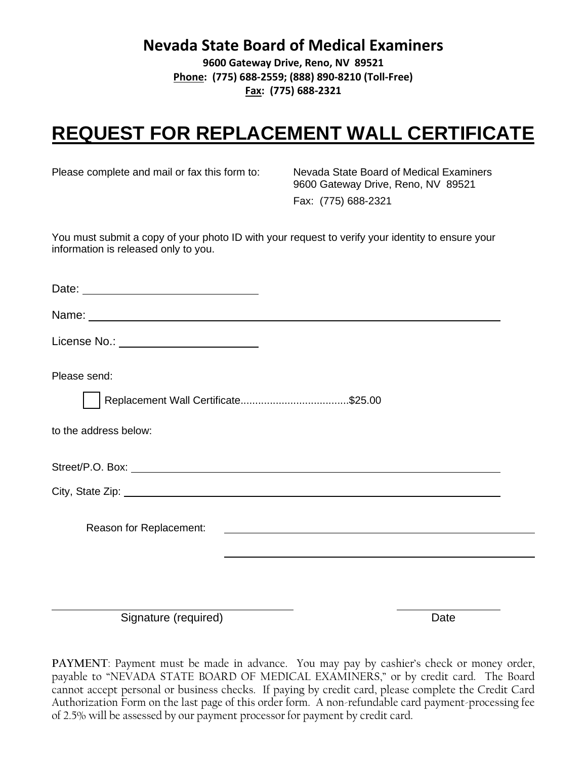**Nevada State Board of Medical Examiners**

**9600 Gateway Drive, Reno, NV 89521 Phone: (775) 688-2559; (888) 890-8210 (Toll-Free) Fax: (775) 688-2321**

## **REQUEST FOR REPLACEMENT WALL CERTIFICATE**

Please complete and mail or fax this form to: Nevada State Board of Medical Examiners

 9600 Gateway Drive, Reno, NV 89521 Fax: (775) 688-2321

You must submit a copy of your photo ID with your request to verify your identity to ensure your information is released only to you.

| Date: <u>__________________________________</u> |
|-------------------------------------------------|
| Name: Name:                                     |
| License No.: <u>_______________________</u>     |
| Please send:                                    |
|                                                 |
| to the address below:                           |
|                                                 |
|                                                 |
| Reason for Replacement:                         |
|                                                 |
|                                                 |
|                                                 |

Signature (required) Date

**PAYMENT**: Payment must be made in advance. You may pay by cashier's check or money order, payable to "NEVADA STATE BOARD OF MEDICAL EXAMINERS," or by credit card. The Board cannot accept personal or business checks. If paying by credit card, please complete the Credit Card Authorization Form on the last page of this order form. A non-refundable card payment-processing fee of 2.5% will be assessed by our payment processor for payment by credit card.